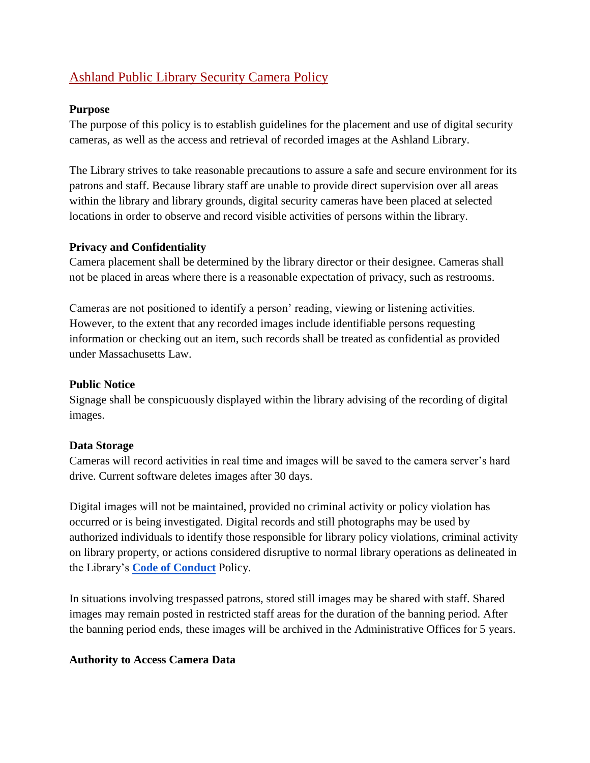# Ashland Public Library Security Camera Policy

#### **Purpose**

The purpose of this policy is to establish guidelines for the placement and use of digital security cameras, as well as the access and retrieval of recorded images at the Ashland Library.

The Library strives to take reasonable precautions to assure a safe and secure environment for its patrons and staff. Because library staff are unable to provide direct supervision over all areas within the library and library grounds, digital security cameras have been placed at selected locations in order to observe and record visible activities of persons within the library.

## **Privacy and Confidentiality**

Camera placement shall be determined by the library director or their designee. Cameras shall not be placed in areas where there is a reasonable expectation of privacy, such as restrooms.

Cameras are not positioned to identify a person' reading, viewing or listening activities. However, to the extent that any recorded images include identifiable persons requesting information or checking out an item, such records shall be treated as confidential as provided under Massachusetts Law.

#### **Public Notice**

Signage shall be conspicuously displayed within the library advising of the recording of digital images.

#### **Data Storage**

Cameras will record activities in real time and images will be saved to the camera server's hard drive. Current software deletes images after 30 days*.*

Digital images will not be maintained, provided no criminal activity or policy violation has occurred or is being investigated. Digital records and still photographs may be used by authorized individuals to identify those responsible for library policy violations, criminal activity on library property, or actions considered disruptive to normal library operations as delineated in the Library's **[Code of Conduct](https://docs.google.com/document/d/1UocEYrtpQmJ93S6C2V_Q4_ZW3zQee1J5luXXfH5mOdk/edit?usp=sharing)** Policy.

In situations involving trespassed patrons, stored still images may be shared with staff. Shared images may remain posted in restricted staff areas for the duration of the banning period. After the banning period ends, these images will be archived in the Administrative Offices for 5 years.

# **Authority to Access Camera Data**